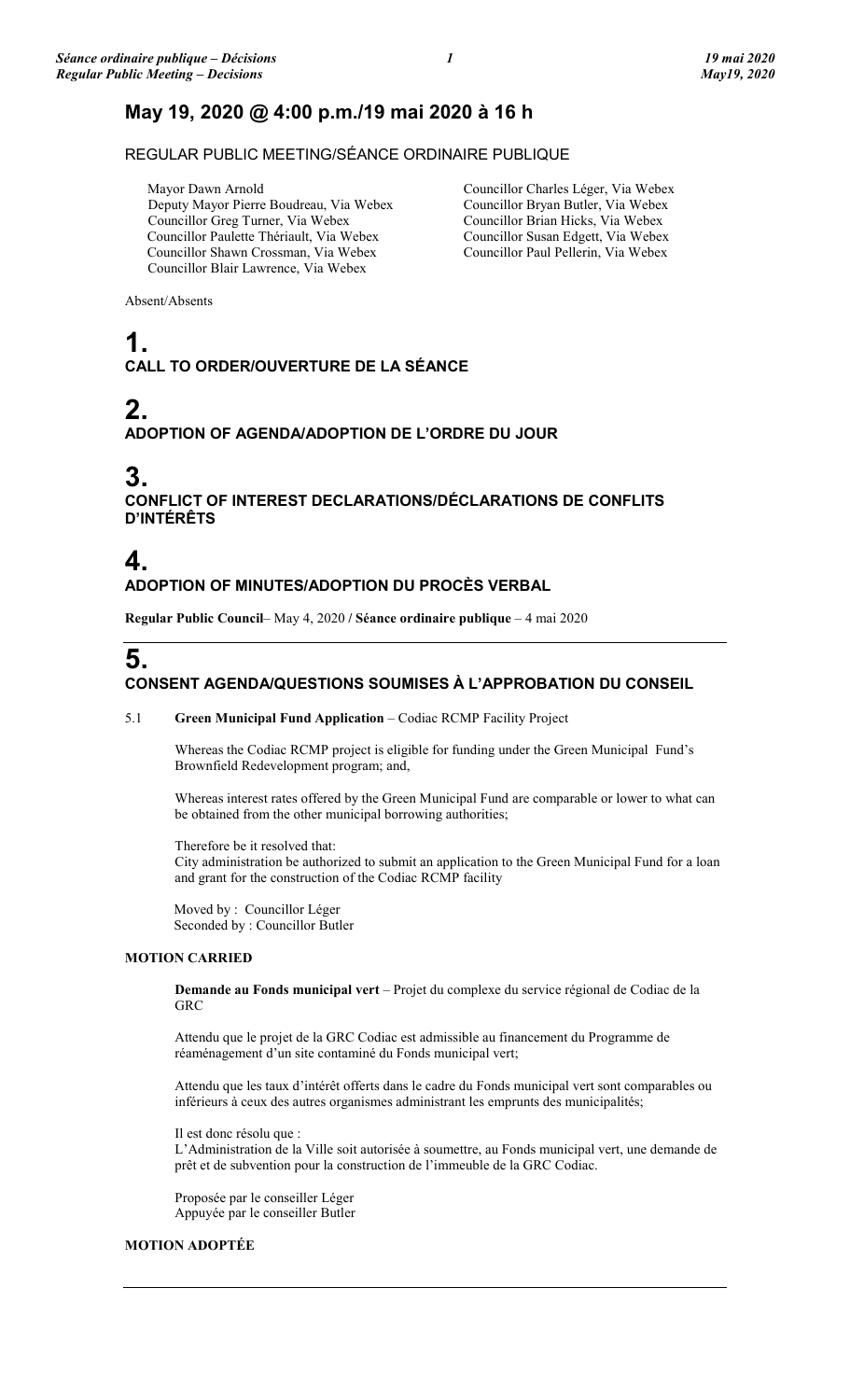# **May 19, 2020 @ 4:00 p.m./19 mai 2020 à 16 h**

### REGULAR PUBLIC MEETING/SÉANCE ORDINAIRE PUBLIQUE

Mayor Dawn Arnold Deputy Mayor Pierre Boudreau, Via Webex Councillor Greg Turner, Via Webex Councillor Paulette Thériault, Via Webex Councillor Shawn Crossman, Via Webex Councillor Blair Lawrence, Via Webex

Councillor Charles Léger, Via Webex Councillor Bryan Butler, Via Webex Councillor Brian Hicks, Via Webex Councillor Susan Edgett, Via Webex Councillor Paul Pellerin, Via Webex

Absent/Absents

# **1.**

## **CALL TO ORDER/OUVERTURE DE LA SÉANCE**

# **2.**

### **ADOPTION OF AGENDA/ADOPTION DE L'ORDRE DU JOUR**

# **3.**

**CONFLICT OF INTEREST DECLARATIONS/DÉCLARATIONS DE CONFLITS D'INTÉRÊTS**

## **4. ADOPTION OF MINUTES/ADOPTION DU PROCÈS VERBAL**

**Regular Public Council**– May 4, 2020 **/ Séance ordinaire publique** – 4 mai 2020

# **5.**

### **CONSENT AGENDA/QUESTIONS SOUMISES À L'APPROBATION DU CONSEIL**

### 5.1 **Green Municipal Fund Application** – Codiac RCMP Facility Project

Whereas the Codiac RCMP project is eligible for funding under the Green Municipal Fund's Brownfield Redevelopment program; and,

Whereas interest rates offered by the Green Municipal Fund are comparable or lower to what can be obtained from the other municipal borrowing authorities;

Therefore be it resolved that: City administration be authorized to submit an application to the Green Municipal Fund for a loan and grant for the construction of the Codiac RCMP facility

Moved by : Councillor Léger Seconded by : Councillor Butler

### **MOTION CARRIED**

**Demande au Fonds municipal vert** – Projet du complexe du service régional de Codiac de la **GRC** 

Attendu que le projet de la GRC Codiac est admissible au financement du Programme de réaménagement d'un site contaminé du Fonds municipal vert;

Attendu que les taux d'intérêt offerts dans le cadre du Fonds municipal vert sont comparables ou inférieurs à ceux des autres organismes administrant les emprunts des municipalités;

Il est donc résolu que : L'Administration de la Ville soit autorisée à soumettre, au Fonds municipal vert, une demande de prêt et de subvention pour la construction de l'immeuble de la GRC Codiac.

Proposée par le conseiller Léger Appuyée par le conseiller Butler

### **MOTION ADOPTÉE**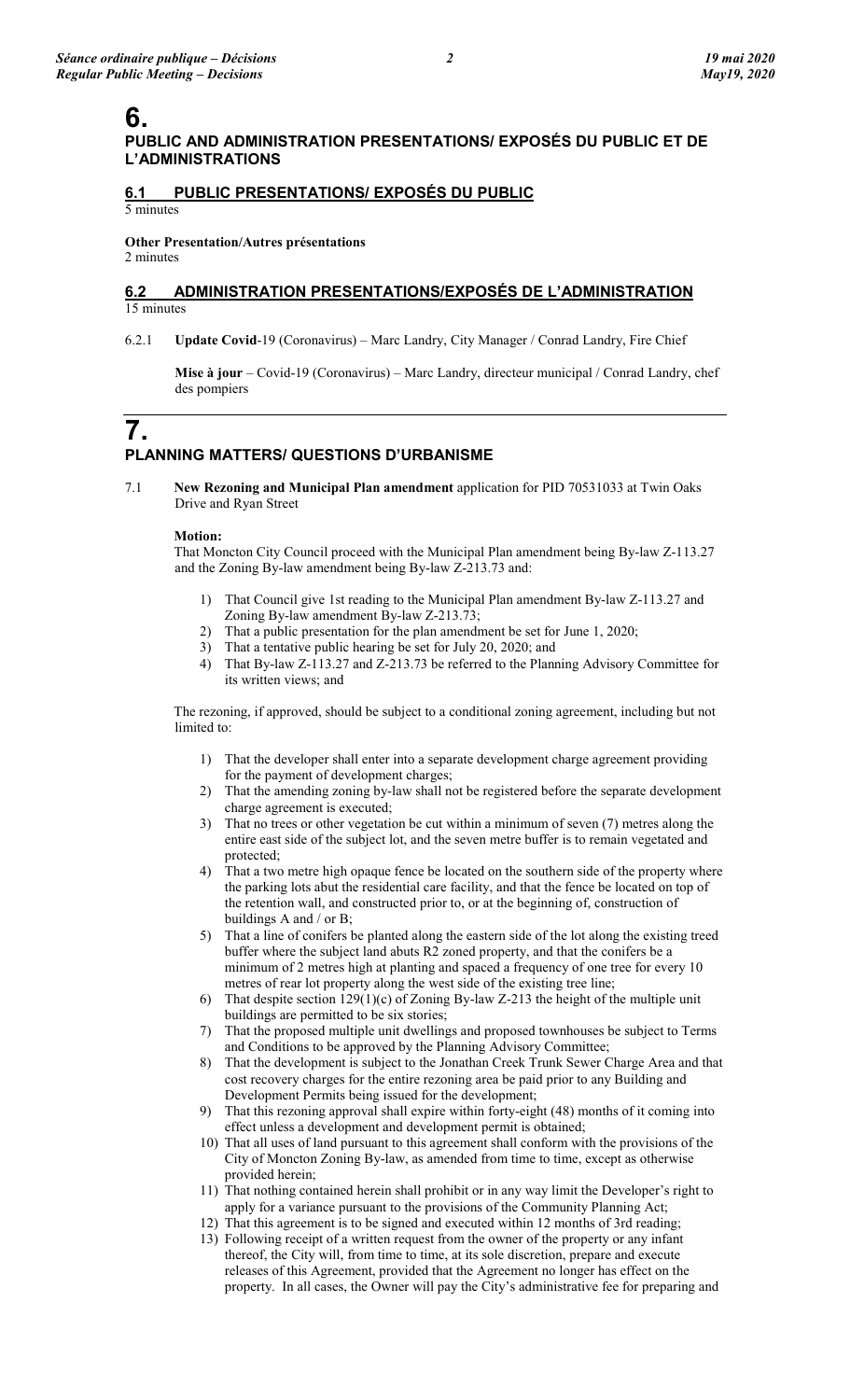# **6.**

### **PUBLIC AND ADMINISTRATION PRESENTATIONS/ EXPOSÉS DU PUBLIC ET DE L'ADMINISTRATIONS**

### **6.1 PUBLIC PRESENTATIONS/ EXPOSÉS DU PUBLIC**

5 minutes

# **Other Presentation/Autres présentations**

2 minutes

### **6.2 ADMINISTRATION PRESENTATIONS/EXPOSÉS DE L'ADMINISTRATION** 15 minutes

6.2.1 **Update Covid**-19 (Coronavirus) – Marc Landry, City Manager / Conrad Landry, Fire Chief

**Mise à jour** – Covid-19 (Coronavirus) – Marc Landry, directeur municipal / Conrad Landry, chef des pompiers

## **7. PLANNING MATTERS/ QUESTIONS D'URBANISME**

7.1 **New Rezoning and Municipal Plan amendment** application for PID 70531033 at Twin Oaks Drive and Ryan Street

### **Motion:**

That Moncton City Council proceed with the Municipal Plan amendment being By-law Z-113.27 and the Zoning By-law amendment being By-law Z-213.73 and:

- 1) That Council give 1st reading to the Municipal Plan amendment By-law Z-113.27 and Zoning By-law amendment By-law Z-213.73;
- 2) That a public presentation for the plan amendment be set for June 1, 2020;
- 3) That a tentative public hearing be set for July 20, 2020; and
- 4) That By-law Z-113.27 and Z-213.73 be referred to the Planning Advisory Committee for its written views; and

The rezoning, if approved, should be subject to a conditional zoning agreement, including but not limited to:

- 1) That the developer shall enter into a separate development charge agreement providing for the payment of development charges;
- 2) That the amending zoning by-law shall not be registered before the separate development charge agreement is executed;
- 3) That no trees or other vegetation be cut within a minimum of seven (7) metres along the entire east side of the subject lot, and the seven metre buffer is to remain vegetated and protected;
- 4) That a two metre high opaque fence be located on the southern side of the property where the parking lots abut the residential care facility, and that the fence be located on top of the retention wall, and constructed prior to, or at the beginning of, construction of buildings A and / or B;
- 5) That a line of conifers be planted along the eastern side of the lot along the existing treed buffer where the subject land abuts R2 zoned property, and that the conifers be a minimum of 2 metres high at planting and spaced a frequency of one tree for every 10 metres of rear lot property along the west side of the existing tree line;
- 6) That despite section 129(1)(c) of Zoning By-law Z-213 the height of the multiple unit buildings are permitted to be six stories;
- 7) That the proposed multiple unit dwellings and proposed townhouses be subject to Terms and Conditions to be approved by the Planning Advisory Committee;
- 8) That the development is subject to the Jonathan Creek Trunk Sewer Charge Area and that cost recovery charges for the entire rezoning area be paid prior to any Building and Development Permits being issued for the development;
- 9) That this rezoning approval shall expire within forty-eight (48) months of it coming into effect unless a development and development permit is obtained;
- 10) That all uses of land pursuant to this agreement shall conform with the provisions of the City of Moncton Zoning By-law, as amended from time to time, except as otherwise provided herein;
- 11) That nothing contained herein shall prohibit or in any way limit the Developer's right to apply for a variance pursuant to the provisions of the Community Planning Act;
- 12) That this agreement is to be signed and executed within 12 months of 3rd reading;
- 13) Following receipt of a written request from the owner of the property or any infant thereof, the City will, from time to time, at its sole discretion, prepare and execute releases of this Agreement, provided that the Agreement no longer has effect on the property. In all cases, the Owner will pay the City's administrative fee for preparing and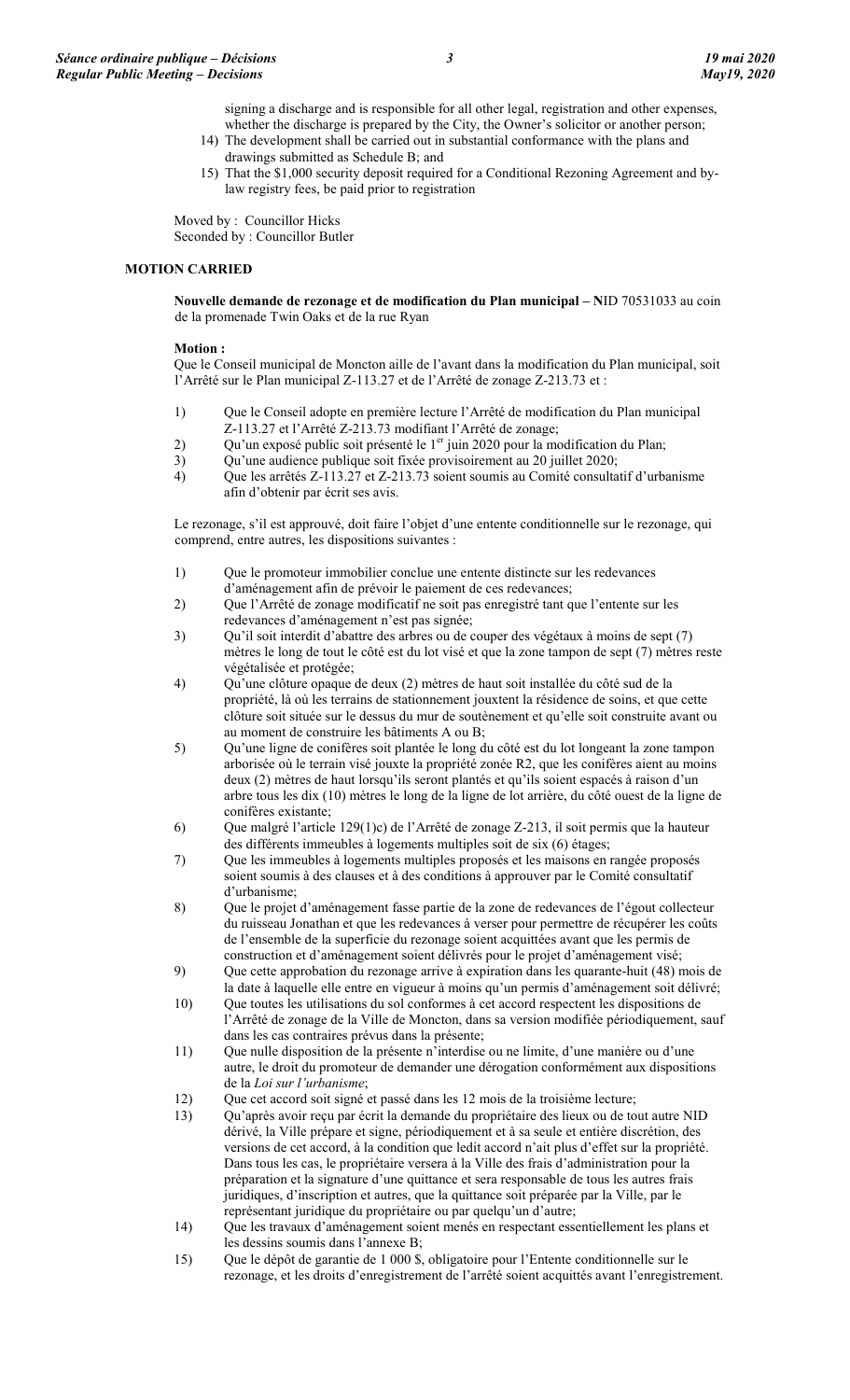signing a discharge and is responsible for all other legal, registration and other expenses, whether the discharge is prepared by the City, the Owner's solicitor or another person;

- 14) The development shall be carried out in substantial conformance with the plans and drawings submitted as Schedule B; and
- 15) That the \$1,000 security deposit required for a Conditional Rezoning Agreement and bylaw registry fees, be paid prior to registration

Moved by : Councillor Hicks Seconded by : Councillor Butler

### **MOTION CARRIED**

**Nouvelle demande de rezonage et de modification du Plan municipal – N**ID 70531033 au coin de la promenade Twin Oaks et de la rue Ryan

### **Motion :**

Que le Conseil municipal de Moncton aille de l'avant dans la modification du Plan municipal, soit l'Arrêté sur le Plan municipal Z-113.27 et de l'Arrêté de zonage Z-213.73 et :

- 1) Que le Conseil adopte en première lecture l'Arrêté de modification du Plan municipal Z-113.27 et l'Arrêté Z-213.73 modifiant l'Arrêté de zonage;
- 2) Qu'un exposé public soit présenté le 1<sup>er</sup> juin 2020 pour la modification du Plan;
- 3) Qu'une audience publique soit fixée provisoirement au 20 juillet 2020;
- 4) Que les arrêtés Z-113.27 et Z-213.73 soient soumis au Comité consultatif d'urbanisme afin d'obtenir par écrit ses avis.

Le rezonage, s'il est approuvé, doit faire l'objet d'une entente conditionnelle sur le rezonage, qui comprend, entre autres, les dispositions suivantes :

- 1) Que le promoteur immobilier conclue une entente distincte sur les redevances d'aménagement afin de prévoir le paiement de ces redevances;
- 2) Que l'Arrêté de zonage modificatif ne soit pas enregistré tant que l'entente sur les redevances d'aménagement n'est pas signée;
- 3) Qu'il soit interdit d'abattre des arbres ou de couper des végétaux à moins de sept (7) mètres le long de tout le côté est du lot visé et que la zone tampon de sept (7) mètres reste végétalisée et protégée;
- 4) Qu'une clôture opaque de deux (2) mètres de haut soit installée du côté sud de la propriété, là où les terrains de stationnement jouxtent la résidence de soins, et que cette clôture soit située sur le dessus du mur de soutènement et qu'elle soit construite avant ou au moment de construire les bâtiments A ou B;
- 5) Qu'une ligne de conifères soit plantée le long du côté est du lot longeant la zone tampon arborisée où le terrain visé jouxte la propriété zonée R2, que les conifères aient au moins deux (2) mètres de haut lorsqu'ils seront plantés et qu'ils soient espacés à raison d'un arbre tous les dix (10) mètres le long de la ligne de lot arrière, du côté ouest de la ligne de conifères existante;
- 6) Que malgré l'article 129(1)c) de l'Arrêté de zonage Z-213, il soit permis que la hauteur des différents immeubles à logements multiples soit de six (6) étages;
- 7) Que les immeubles à logements multiples proposés et les maisons en rangée proposés soient soumis à des clauses et à des conditions à approuver par le Comité consultatif d'urbanisme;
- 8) Que le projet d'aménagement fasse partie de la zone de redevances de l'égout collecteur du ruisseau Jonathan et que les redevances à verser pour permettre de récupérer les coûts de l'ensemble de la superficie du rezonage soient acquittées avant que les permis de construction et d'aménagement soient délivrés pour le projet d'aménagement visé;
- 9) Que cette approbation du rezonage arrive à expiration dans les quarante-huit (48) mois de la date à laquelle elle entre en vigueur à moins qu'un permis d'aménagement soit délivré;
- 10) Que toutes les utilisations du sol conformes à cet accord respectent les dispositions de l'Arrêté de zonage de la Ville de Moncton, dans sa version modifiée périodiquement, sauf dans les cas contraires prévus dans la présente;
- 11) Que nulle disposition de la présente n'interdise ou ne limite, d'une manière ou d'une autre, le droit du promoteur de demander une dérogation conformément aux dispositions de la *Loi sur l'urbanisme*;
- 12) Que cet accord soit signé et passé dans les 12 mois de la troisième lecture;
- 13) Qu'après avoir reçu par écrit la demande du propriétaire des lieux ou de tout autre NID dérivé, la Ville prépare et signe, périodiquement et à sa seule et entière discrétion, des versions de cet accord, à la condition que ledit accord n'ait plus d'effet sur la propriété. Dans tous les cas, le propriétaire versera à la Ville des frais d'administration pour la préparation et la signature d'une quittance et sera responsable de tous les autres frais juridiques, d'inscription et autres, que la quittance soit préparée par la Ville, par le représentant juridique du propriétaire ou par quelqu'un d'autre;
- 14) Que les travaux d'aménagement soient menés en respectant essentiellement les plans et les dessins soumis dans l'annexe B;
- 15) Que le dépôt de garantie de 1 000 \$, obligatoire pour l'Entente conditionnelle sur le rezonage, et les droits d'enregistrement de l'arrêté soient acquittés avant l'enregistrement.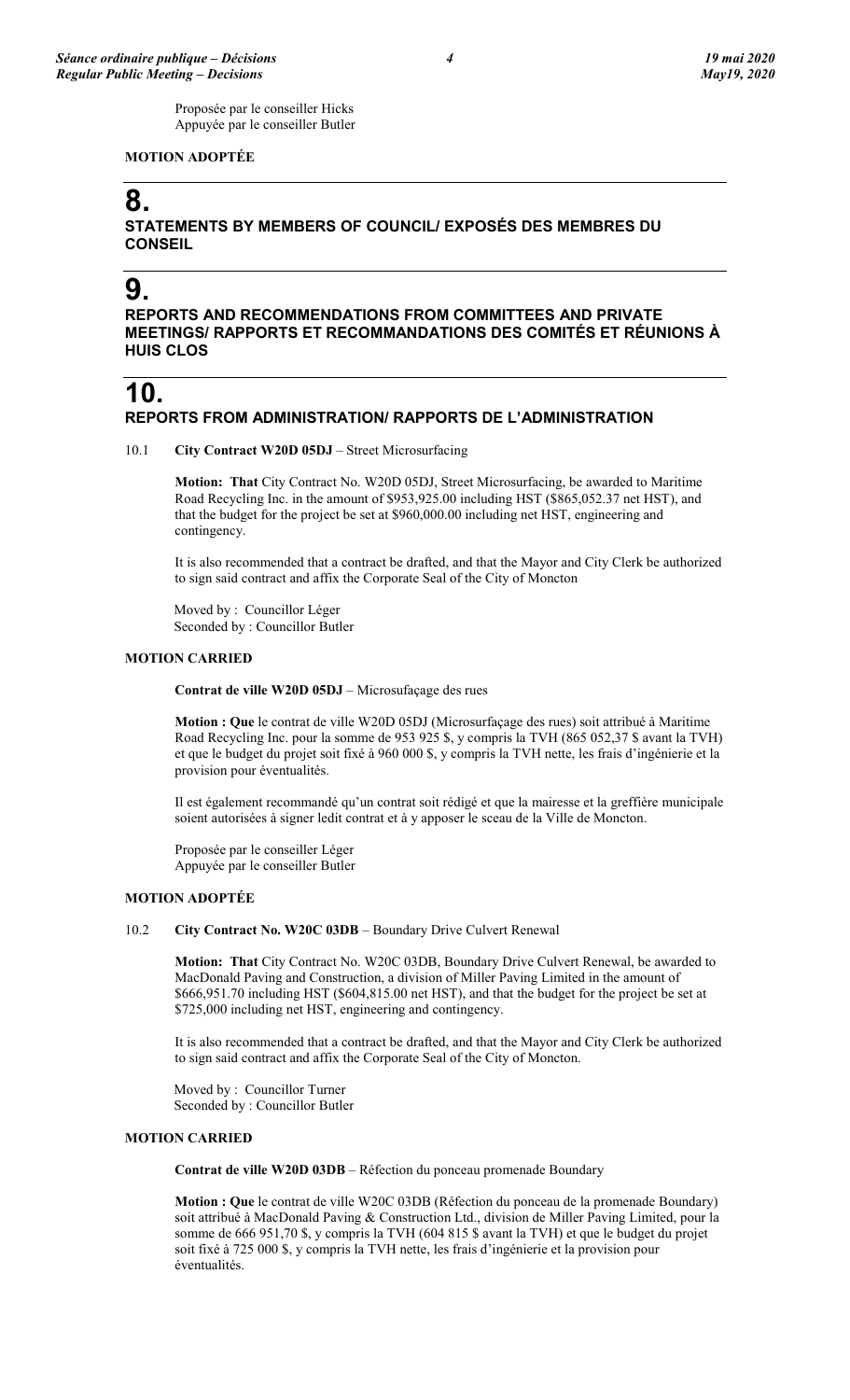Proposée par le conseiller Hicks Appuyée par le conseiller Butler

### **MOTION ADOPTÉE**

# **8.**

**STATEMENTS BY MEMBERS OF COUNCIL/ EXPOSÉS DES MEMBRES DU CONSEIL**

# **9.**

**REPORTS AND RECOMMENDATIONS FROM COMMITTEES AND PRIVATE MEETINGS/ RAPPORTS ET RECOMMANDATIONS DES COMITÉS ET RÉUNIONS À HUIS CLOS**

## **10. REPORTS FROM ADMINISTRATION/ RAPPORTS DE L'ADMINISTRATION**

10.1 **City Contract W20D 05DJ** – Street Microsurfacing

**Motion: That** City Contract No. W20D 05DJ, Street Microsurfacing, be awarded to Maritime Road Recycling Inc. in the amount of \$953,925.00 including HST (\$865,052.37 net HST), and that the budget for the project be set at \$960,000.00 including net HST, engineering and contingency.

It is also recommended that a contract be drafted, and that the Mayor and City Clerk be authorized to sign said contract and affix the Corporate Seal of the City of Moncton

Moved by : Councillor Léger Seconded by : Councillor Butler

### **MOTION CARRIED**

**Contrat de ville W20D 05DJ** – Microsufaçage des rues

**Motion : Que** le contrat de ville W20D 05DJ (Microsurfaçage des rues) soit attribué à Maritime Road Recycling Inc. pour la somme de 953 925 \$, y compris la TVH (865 052,37 \$ avant la TVH) et que le budget du projet soit fixé à 960 000 \$, y compris la TVH nette, les frais d'ingénierie et la provision pour éventualités.

Il est également recommandé qu'un contrat soit rédigé et que la mairesse et la greffière municipale soient autorisées à signer ledit contrat et à y apposer le sceau de la Ville de Moncton.

Proposée par le conseiller Léger Appuyée par le conseiller Butler

### **MOTION ADOPTÉE**

10.2 **City Contract No. W20C 03DB** – Boundary Drive Culvert Renewal

**Motion: That** City Contract No. W20C 03DB, Boundary Drive Culvert Renewal, be awarded to MacDonald Paving and Construction, a division of Miller Paving Limited in the amount of \$666,951.70 including HST (\$604,815.00 net HST), and that the budget for the project be set at \$725,000 including net HST, engineering and contingency.

It is also recommended that a contract be drafted, and that the Mayor and City Clerk be authorized to sign said contract and affix the Corporate Seal of the City of Moncton.

Moved by : Councillor Turner Seconded by : Councillor Butler

### **MOTION CARRIED**

**Contrat de ville W20D 03DB** – Réfection du ponceau promenade Boundary

**Motion : Que** le contrat de ville W20C 03DB (Réfection du ponceau de la promenade Boundary) soit attribué à MacDonald Paving & Construction Ltd., division de Miller Paving Limited, pour la somme de 666 951,70 \$, y compris la TVH (604 815 \$ avant la TVH) et que le budget du projet soit fixé à 725 000 \$, y compris la TVH nette, les frais d'ingénierie et la provision pour éventualités.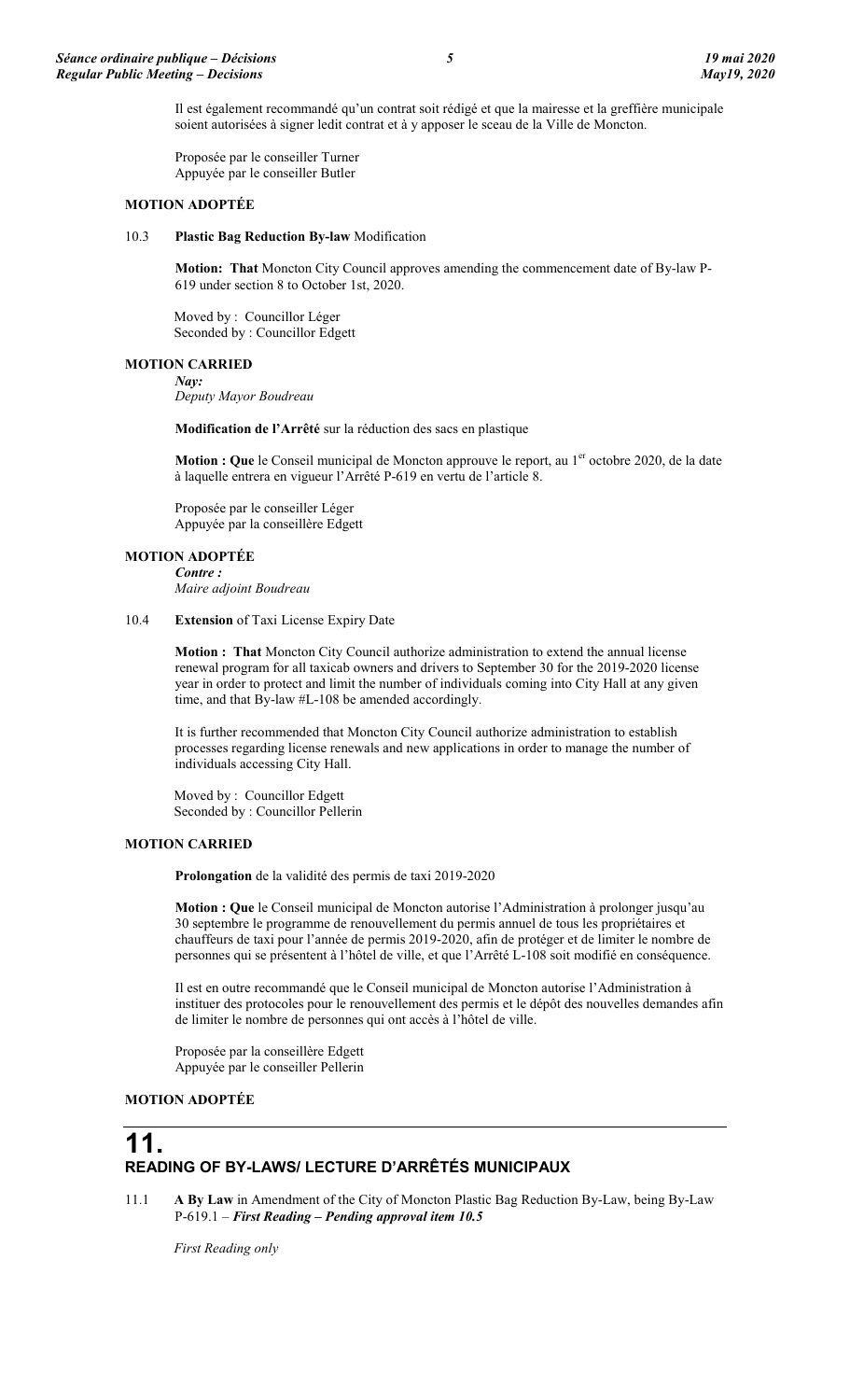Il est également recommandé qu'un contrat soit rédigé et que la mairesse et la greffière municipale soient autorisées à signer ledit contrat et à y apposer le sceau de la Ville de Moncton.

Proposée par le conseiller Turner Appuyée par le conseiller Butler

#### **MOTION ADOPTÉE**

#### 10.3 **Plastic Bag Reduction By-law** Modification

**Motion: That** Moncton City Council approves amending the commencement date of By-law P-619 under section 8 to October 1st, 2020.

Moved by : Councillor Léger Seconded by : Councillor Edgett

#### **MOTION CARRIED** *Nay:*

*Deputy Mayor Boudreau*

**Modification de l'Arrêté** sur la réduction des sacs en plastique

**Motion : Que** le Conseil municipal de Moncton approuve le report, au 1<sup>er</sup> octobre 2020, de la date à laquelle entrera en vigueur l'Arrêté P-619 en vertu de l'article 8.

Proposée par le conseiller Léger Appuyée par la conseillère Edgett

### **MOTION ADOPTÉE**

*Contre : Maire adjoint Boudreau*

#### 10.4 **Extension** of Taxi License Expiry Date

**Motion : That** Moncton City Council authorize administration to extend the annual license renewal program for all taxicab owners and drivers to September 30 for the 2019-2020 license year in order to protect and limit the number of individuals coming into City Hall at any given time, and that By-law #L-108 be amended accordingly.

It is further recommended that Moncton City Council authorize administration to establish processes regarding license renewals and new applications in order to manage the number of individuals accessing City Hall.

Moved by : Councillor Edgett Seconded by : Councillor Pellerin

#### **MOTION CARRIED**

**Prolongation** de la validité des permis de taxi 2019-2020

**Motion : Que** le Conseil municipal de Moncton autorise l'Administration à prolonger jusqu'au 30 septembre le programme de renouvellement du permis annuel de tous les propriétaires et chauffeurs de taxi pour l'année de permis 2019-2020, afin de protéger et de limiter le nombre de personnes qui se présentent à l'hôtel de ville, et que l'Arrêté L-108 soit modifié en conséquence.

Il est en outre recommandé que le Conseil municipal de Moncton autorise l'Administration à instituer des protocoles pour le renouvellement des permis et le dépôt des nouvelles demandes afin de limiter le nombre de personnes qui ont accès à l'hôtel de ville.

Proposée par la conseillère Edgett Appuyée par le conseiller Pellerin

### **MOTION ADOPTÉE**

## **11. READING OF BY-LAWS/ LECTURE D'ARRÊTÉS MUNICIPAUX**

11.1 **A By Law** in Amendment of the City of Moncton Plastic Bag Reduction By-Law, being By-Law P-619.1 – *First Reading – Pending approval item 10.5*

*First Reading only*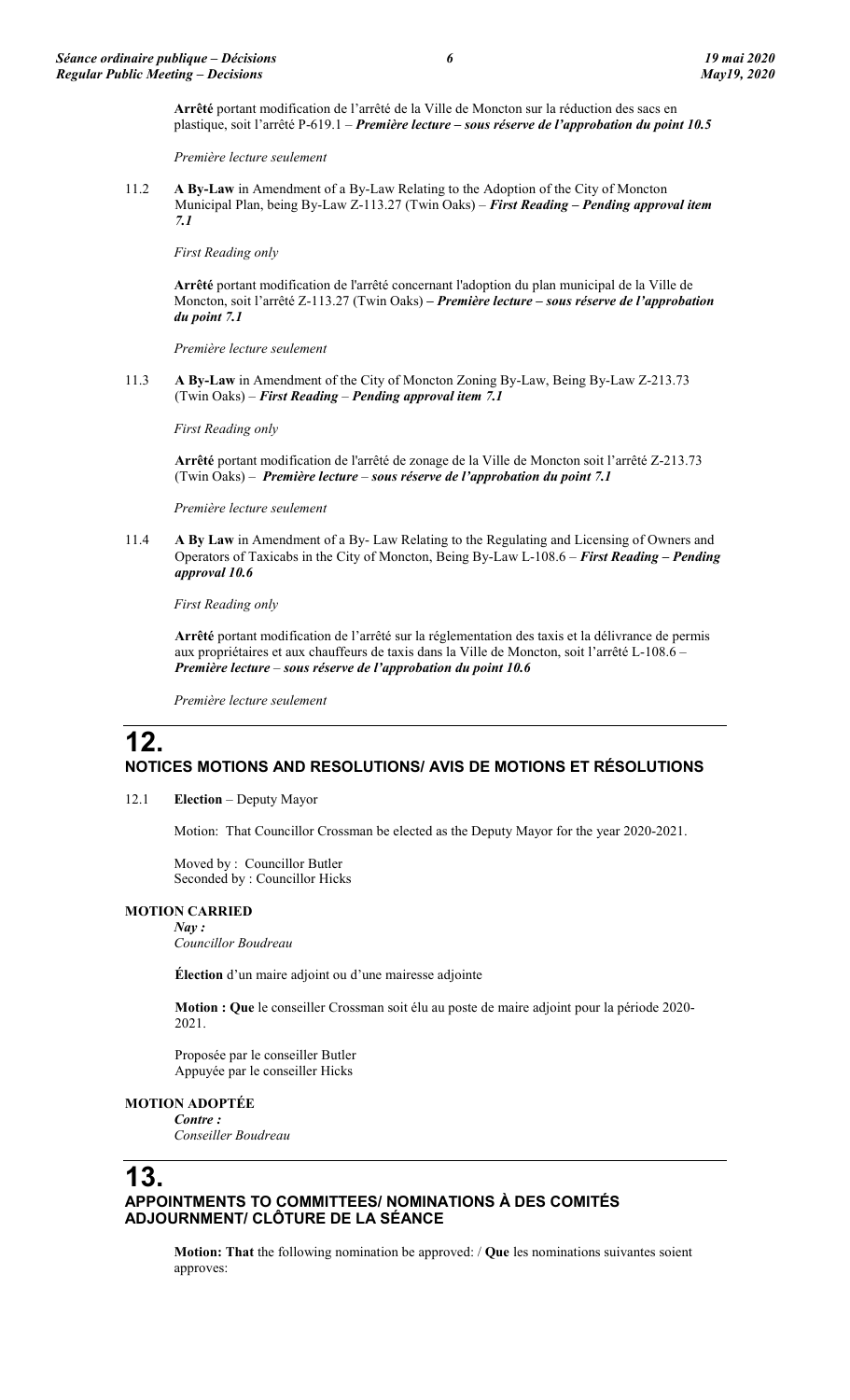**Arrêté** portant modification de l'arrêté de la Ville de Moncton sur la réduction des sacs en plastique, soit l'arrêté P-619.1 – *Première lecture – sous réserve de l'approbation du point 10.5*

*Première lecture seulement*

11.2 **A By-Law** in Amendment of a By-Law Relating to the Adoption of the City of Moncton Municipal Plan, being By-Law Z-113.27 (Twin Oaks) – *First Reading – Pending approval item 7.1*

*First Reading only*

**Arrêté** portant modification de l'arrêté concernant l'adoption du plan municipal de la Ville de Moncton, soit l'arrêté Z-113.27 (Twin Oaks) **–** *Première lecture – sous réserve de l'approbation du point 7.1*

*Première lecture seulement*

11.3 **A By-Law** in Amendment of the City of Moncton Zoning By-Law, Being By-Law Z-213.73 (Twin Oaks) – *First Reading* – *Pending approval item 7.1*

*First Reading only*

**Arrêté** portant modification de l'arrêté de zonage de la Ville de Moncton soit l'arrêté Z-213.73 (Twin Oaks) – *Première lecture* – *sous réserve de l'approbation du point 7.1*

*Première lecture seulement*

11.4 **A By Law** in Amendment of a By- Law Relating to the Regulating and Licensing of Owners and Operators of Taxicabs in the City of Moncton, Being By-Law L-108.6 – *First Reading – Pending approval 10.6*

*First Reading only*

**Arrêté** portant modification de l'arrêté sur la réglementation des taxis et la délivrance de permis aux propriétaires et aux chauffeurs de taxis dans la Ville de Moncton, soit l'arrêté L-108.6 – *Première lecture* – *sous réserve de l'approbation du point 10.6*

*Première lecture seulement*

## **12. NOTICES MOTIONS AND RESOLUTIONS/ AVIS DE MOTIONS ET RÉSOLUTIONS**

12.1 **Election** – Deputy Mayor

Motion: That Councillor Crossman be elected as the Deputy Mayor for the year 2020-2021.

Moved by : Councillor Butler Seconded by : Councillor Hicks

### **MOTION CARRIED**

*Nay : Councillor Boudreau*

**Élection** d'un maire adjoint ou d'une mairesse adjointe

**Motion : Que** le conseiller Crossman soit élu au poste de maire adjoint pour la période 2020- 2021.

Proposée par le conseiller Butler Appuyée par le conseiller Hicks

### **MOTION ADOPTÉE**

*Contre : Conseiller Boudreau*

# **13.**

### **APPOINTMENTS TO COMMITTEES/ NOMINATIONS À DES COMITÉS ADJOURNMENT/ CLÔTURE DE LA SÉANCE**

**Motion: That** the following nomination be approved: / **Que** les nominations suivantes soient approves: